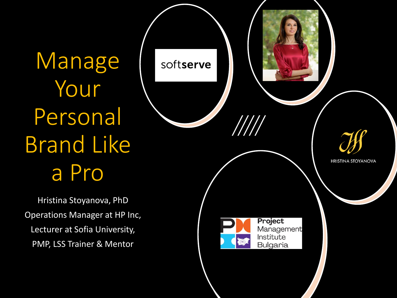Manage Your Personal Brand Like a Pro

Hristina Stoyanova, PhD Operations Manager at HP Inc, Lecturer at Sofia University, PMP, LSS Trainer & Mentor

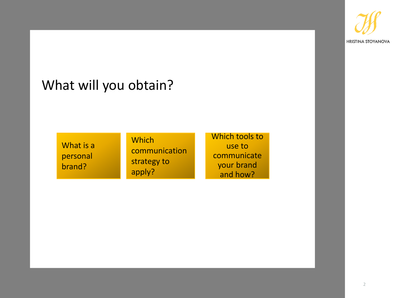

## What will you obtain?

What is a personal brand?

**Which** communication strategy to apply?

Which tools to use to communicate your brand and how?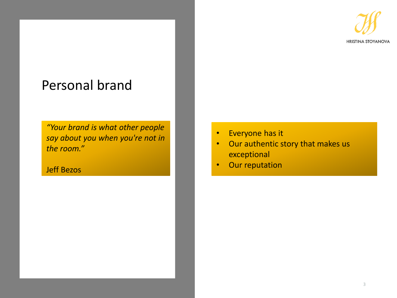**HRISTINA STOYANOVA** 

## Personal brand

*"Your brand is what other people say about you when you're not in the room."*

Jeff Bezos

- Everyone has it
- Our authentic story that makes us exceptional
- Our reputation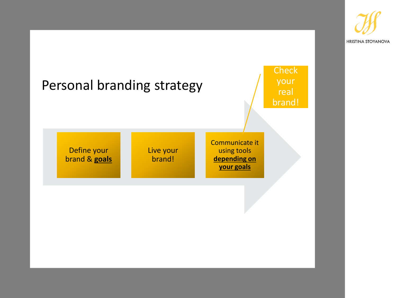

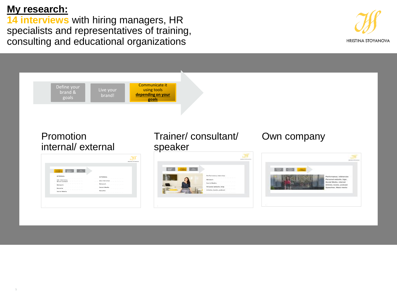## **My research:**

**14 interviews** with hiring managers, HR specialists and representatives of training, consulting and educational organizations



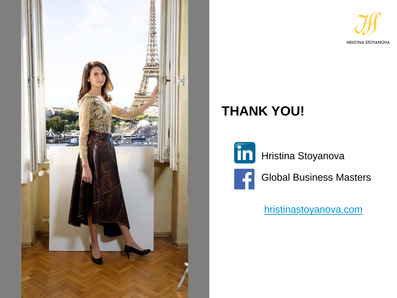



## **THANK YOU!**

in Hristina Stoyanova



Global Business Masters

[hristinastoyanova.com](https://hristinastoyanova.com/)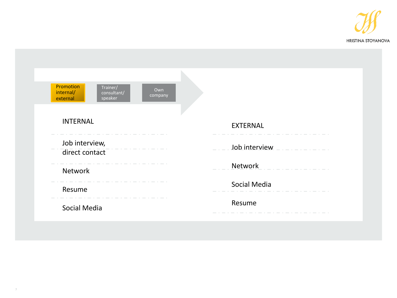

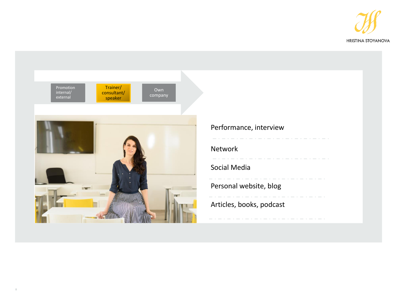

<span id="page-7-0"></span>